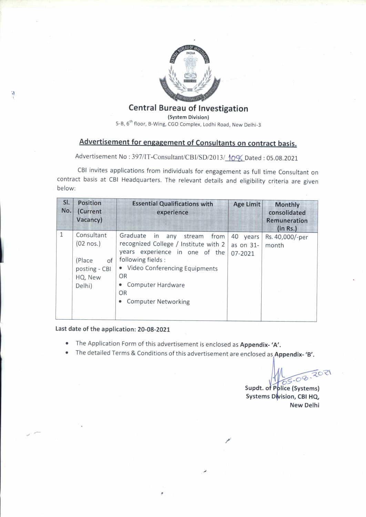

### **Central Bureau of Investigation**

(System Division)

5-B, 6<sup>th</sup> floor, B-Wing, CGO Complex, Lodhi Road, New Delhi-3

# Advertisement for engagement of Consultants on contract basis.

Advertisement No: 397/IT-Consultant/CBI/SD/2013/10% Dated: 05.08.2021

CBI invites applications from individuals for engagement as full time Consultant on contract basis at CBI Headquarters. The relevant details and eligibility criteria are given below:

| SI.<br>No.   | <b>Position</b><br>(Current<br>Vacancy) | <b>Essential Qualifications with</b><br>experience   | <b>Age Limit</b> | <b>Monthly</b><br>consolidated<br><b>Remuneration</b><br>(in Rs.) |
|--------------|-----------------------------------------|------------------------------------------------------|------------------|-------------------------------------------------------------------|
| $\mathbf{1}$ | Consultant                              | Graduate<br>in<br>any<br>stream<br>from              | 40 years         | Rs. 40,000/-per                                                   |
|              | $(02 \text{ nos.})$                     | recognized College / Institute with 2                | as on 31-        | month                                                             |
|              | (Place<br>of                            | years experience in one of the<br>following fields : | 07-2021          |                                                                   |
|              | posting - CBI                           | • Video Conferencing Equipments                      |                  |                                                                   |
|              | HQ, New                                 | OR                                                   |                  |                                                                   |
|              | Delhi)                                  | Computer Hardware                                    |                  |                                                                   |
|              |                                         | <b>OR</b>                                            |                  |                                                                   |
|              |                                         | <b>Computer Networking</b>                           |                  |                                                                   |
|              |                                         |                                                      |                  |                                                                   |

#### Last date of the application: 20-08-2021

Þ

- The Application Form of this advertisement is enclosed as Appendix-'A'.  $\bullet$
- The detailed Terms & Conditions of this advertisement are enclosed as Appendix-'B'.  $\bullet$

Supdt. of Pplice (Systems) Systems Division, CBI HQ, **New Delhi**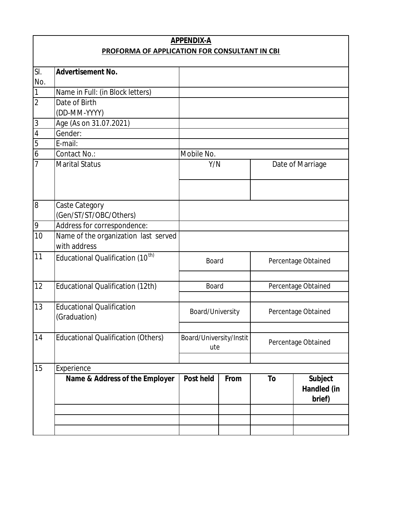| <b>APPENDIX-A</b>                             |                                                      |                                |      |                     |                                                |  |
|-----------------------------------------------|------------------------------------------------------|--------------------------------|------|---------------------|------------------------------------------------|--|
| PROFORMA OF APPLICATION FOR CONSULTANT IN CBI |                                                      |                                |      |                     |                                                |  |
|                                               |                                                      |                                |      |                     |                                                |  |
| SI.<br>No.                                    | <b>Advertisement No.</b>                             |                                |      |                     |                                                |  |
| $\overline{1}$                                | Name in Full: (in Block letters)                     |                                |      |                     |                                                |  |
| $\overline{2}$                                | Date of Birth                                        |                                |      |                     |                                                |  |
|                                               | (DD-MM-YYYY)                                         |                                |      |                     |                                                |  |
|                                               | Age (As on 31.07.2021)                               |                                |      |                     |                                                |  |
| $\frac{1}{4}$                                 | Gender:                                              |                                |      |                     |                                                |  |
|                                               | E-mail:                                              |                                |      |                     |                                                |  |
| $\frac{5}{6}$                                 | Contact No.:                                         | Mobile No.                     |      |                     |                                                |  |
| 7                                             | <b>Marital Status</b>                                | Y/N                            |      |                     | Date of Marriage                               |  |
|                                               |                                                      |                                |      |                     |                                                |  |
| $\overline{8}$                                | Caste Category<br>(Gen/ST/ST/OBC/Others)             |                                |      |                     |                                                |  |
| 9                                             | Address for correspondence:                          |                                |      |                     |                                                |  |
| 10                                            | Name of the organization last served<br>with address |                                |      |                     |                                                |  |
| 11                                            | Educational Qualification (10 <sup>th)</sup>         | <b>Board</b>                   |      |                     | Percentage Obtained                            |  |
|                                               |                                                      |                                |      |                     |                                                |  |
| 12                                            | Educational Qualification (12th)                     | <b>Board</b>                   |      | Percentage Obtained |                                                |  |
| 13                                            | <b>Educational Qualification</b><br>(Graduation)     | Board/University               |      | Percentage Obtained |                                                |  |
| 14                                            | <b>Educational Qualification (Others)</b>            | Board/University/Instit<br>ute |      | Percentage Obtained |                                                |  |
|                                               |                                                      |                                |      |                     |                                                |  |
| 15                                            | Experience                                           |                                |      |                     |                                                |  |
|                                               | Name & Address of the Employer                       | <b>Post held</b>               | From | To                  | <b>Subject</b><br><b>Handled (in</b><br>brief) |  |
|                                               |                                                      |                                |      |                     |                                                |  |
|                                               |                                                      |                                |      |                     |                                                |  |
|                                               |                                                      |                                |      |                     |                                                |  |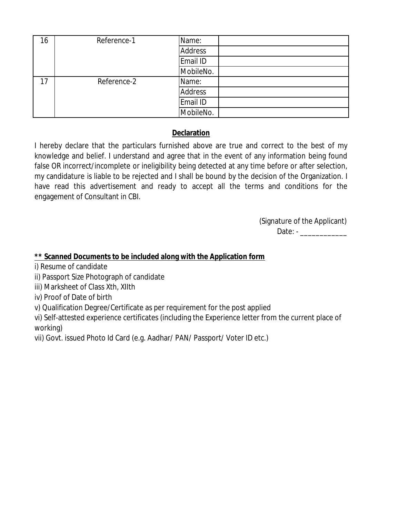| 16 | Reference-1 | Name:          |
|----|-------------|----------------|
|    |             | <b>Address</b> |
|    |             | Email ID       |
|    |             | MobileNo.      |
| 17 | Reference-2 | Name:          |
|    |             | Address        |
|    |             | Email ID       |
|    |             | MobileNo.      |

### **Declaration**

I hereby declare that the particulars furnished above are true and correct to the best of my knowledge and belief. I understand and agree that in the event of any information being found false OR incorrect/incomplete or ineligibility being detected at any time before or after selection, my candidature is liable to be rejected and I shall be bound by the decision of the Organization. I have read this advertisement and ready to accept all the terms and conditions for the engagement of Consultant in CBI.

> (Signature of the Applicant) Date: - \_\_\_\_\_\_\_\_\_\_\_\_

### **\*\* Scanned Documents to be included along with the Application form**

- i) Resume of candidate
- ii) Passport Size Photograph of candidate
- iii) Marksheet of Class Xth, XIIth
- iv) Proof of Date of birth
- v) Qualification Degree/Certificate as per requirement for the post applied
- vi) Self-attested experience certificates (including the Experience letter from the current place of working)
- vii) Govt. issued Photo Id Card (e.g. Aadhar/ PAN/ Passport/ Voter ID etc.)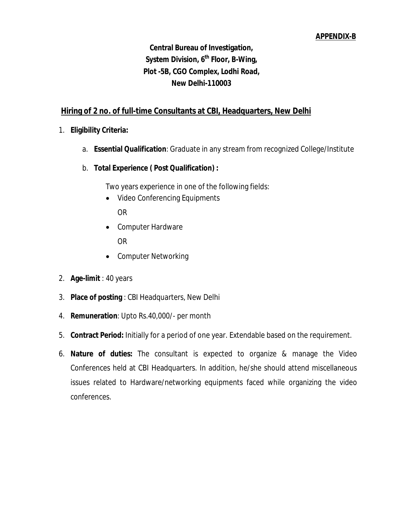### **Central Bureau of Investigation, System Division, 6 th Floor, B-Wing, Plot -5B, CGO Complex, Lodhi Road, New Delhi-110003**

#### **Hiring of 2 no. of full-time Consultants at CBI, Headquarters, New Delhi**

- 1. **Eligibility Criteria:**
	- a. **Essential Qualification**: Graduate in any stream from recognized College/Institute
	- b. **Total Experience ( Post Qualification) :**

Two years experience in one of the following fields:

- Video Conferencing Equipments OR
- Computer Hardware OR
- Computer Networking
- 2. **Age-limit** : 40 years
- 3. **Place of posting** : CBI Headquarters, New Delhi
- 4. **Remuneration**: Upto Rs.40,000/- per month
- 5. **Contract Period:** Initially for a period of one year. Extendable based on the requirement.
- 6. **Nature of duties:** The consultant is expected to organize & manage the Video Conferences held at CBI Headquarters. In addition, he/she should attend miscellaneous issues related to Hardware/networking equipments faced while organizing the video conferences.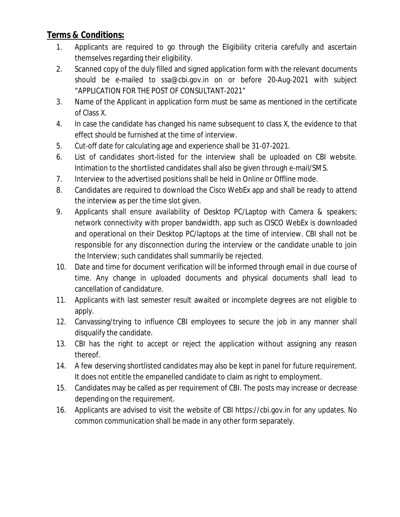### **Terms & Conditions:**

- 1. Applicants are required to go through the Eligibility criteria carefully and ascertain themselves regarding their eligibility.
- 2. Scanned copy of the duly filled and signed application form with the relevant documents should be e-mailed to ssa@cbi.gov.in on or before 20-Aug-2021 with subject "APPLICATION FOR THE POST OF CONSULTANT-2021"
- 3. Name of the Applicant in application form must be same as mentioned in the certificate of Class X.
- 4. In case the candidate has changed his name subsequent to class X, the evidence to that effect should be furnished at the time of interview.
- 5. Cut-off date for calculating age and experience shall be 31-07-2021.
- 6. List of candidates short-listed for the interview shall be uploaded on CBI website. Intimation to the shortlisted candidates shall also be given through e-mail/SMS.
- 7. Interview to the advertised positions shall be held in Online or Offline mode.
- 8. Candidates are required to download the Cisco WebEx app and shall be ready to attend the interview as per the time slot given.
- 9. Applicants shall ensure availability of Desktop PC/Laptop with Camera & speakers; network connectivity with proper bandwidth, app such as CISCO WebEx is downloaded and operational on their Desktop PC/laptops at the time of interview. CBI shall not be responsible for any disconnection during the interview or the candidate unable to join the Interview; such candidates shall summarily be rejected.
- 10. Date and time for document verification will be informed through email in due course of time. Any change in uploaded documents and physical documents shall lead to cancellation of candidature.
- 11. Applicants with last semester result awaited or incomplete degrees are not eligible to apply.
- 12. Canvassing/trying to influence CBI employees to secure the job in any manner shall disqualify the candidate.
- 13. CBI has the right to accept or reject the application without assigning any reason thereof.
- 14. A few deserving shortlisted candidates may also be kept in panel for future requirement. It does not entitle the empanelled candidate to claim as right to employment.
- 15. Candidates may be called as per requirement of CBI. The posts may increase or decrease depending on the requirement.
- 16. Applicants are advised to visit the website of CBI https://cbi.gov.in for any updates. No common communication shall be made in any other form separately.